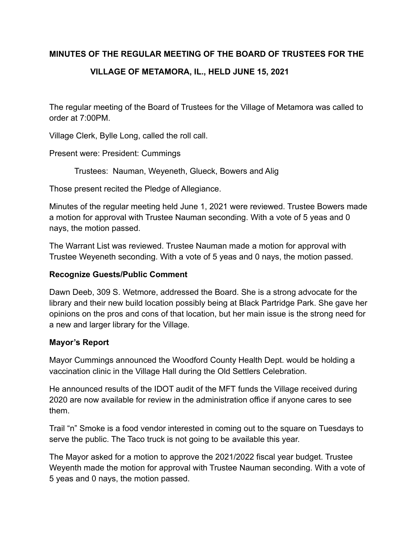### **MINUTES OF THE REGULAR MEETING OF THE BOARD OF TRUSTEES FOR THE**

# **VILLAGE OF METAMORA, IL., HELD JUNE 15, 2021**

The regular meeting of the Board of Trustees for the Village of Metamora was called to order at 7:00PM.

Village Clerk, Bylle Long, called the roll call.

Present were: President: Cummings

Trustees: Nauman, Weyeneth, Glueck, Bowers and Alig

Those present recited the Pledge of Allegiance.

Minutes of the regular meeting held June 1, 2021 were reviewed. Trustee Bowers made a motion for approval with Trustee Nauman seconding. With a vote of 5 yeas and 0 nays, the motion passed.

The Warrant List was reviewed. Trustee Nauman made a motion for approval with Trustee Weyeneth seconding. With a vote of 5 yeas and 0 nays, the motion passed.

### **Recognize Guests/Public Comment**

Dawn Deeb, 309 S. Wetmore, addressed the Board. She is a strong advocate for the library and their new build location possibly being at Black Partridge Park. She gave her opinions on the pros and cons of that location, but her main issue is the strong need for a new and larger library for the Village.

#### **Mayor's Report**

Mayor Cummings announced the Woodford County Health Dept. would be holding a vaccination clinic in the Village Hall during the Old Settlers Celebration.

He announced results of the IDOT audit of the MFT funds the Village received during 2020 are now available for review in the administration office if anyone cares to see them.

Trail "n" Smoke is a food vendor interested in coming out to the square on Tuesdays to serve the public. The Taco truck is not going to be available this year.

The Mayor asked for a motion to approve the 2021/2022 fiscal year budget. Trustee Weyenth made the motion for approval with Trustee Nauman seconding. With a vote of 5 yeas and 0 nays, the motion passed.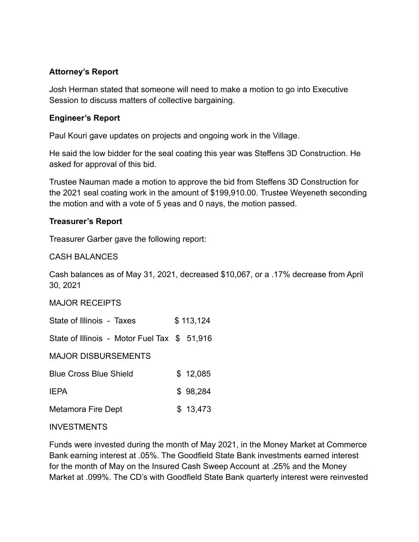### **Attorney's Report**

Josh Herman stated that someone will need to make a motion to go into Executive Session to discuss matters of collective bargaining.

### **Engineer's Report**

Paul Kouri gave updates on projects and ongoing work in the Village.

He said the low bidder for the seal coating this year was Steffens 3D Construction. He asked for approval of this bid.

Trustee Nauman made a motion to approve the bid from Steffens 3D Construction for the 2021 seal coating work in the amount of \$199,910.00. Trustee Weyeneth seconding the motion and with a vote of 5 yeas and 0 nays, the motion passed.

### **Treasurer's Report**

Treasurer Garber gave the following report:

### CASH BALANCES

Cash balances as of May 31, 2021, decreased \$10,067, or a .17% decrease from April 30, 2021

#### MAJOR RECEIPTS

State of Illinois - Taxes \$ 113,124

State of Illinois - Motor Fuel Tax \$ 51,916

MAJOR DISBURSEMENTS

| <b>Blue Cross Blue Shield</b> | \$12,085 |
|-------------------------------|----------|
|                               |          |

| <b>IEPA</b> | \$98,284 |
|-------------|----------|
|             |          |

# Metamora Fire Dept \$ 13,473

#### INVESTMENTS

Funds were invested during the month of May 2021, in the Money Market at Commerce Bank earning interest at .05%. The Goodfield State Bank investments earned interest for the month of May on the Insured Cash Sweep Account at .25% and the Money Market at .099%. The CD's with Goodfield State Bank quarterly interest were reinvested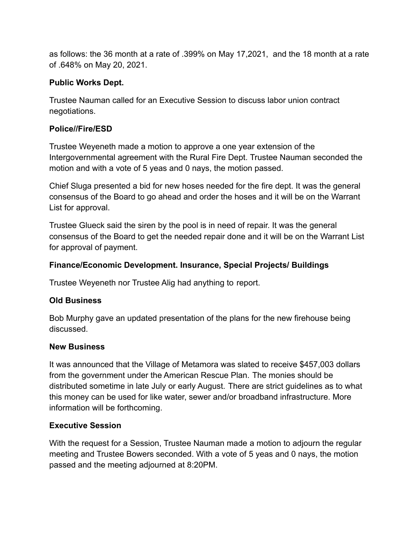as follows: the 36 month at a rate of .399% on May 17,2021, and the 18 month at a rate of .648% on May 20, 2021.

## **Public Works Dept.**

Trustee Nauman called for an Executive Session to discuss labor union contract negotiations.

## **Police//Fire/ESD**

Trustee Weyeneth made a motion to approve a one year extension of the Intergovernmental agreement with the Rural Fire Dept. Trustee Nauman seconded the motion and with a vote of 5 yeas and 0 nays, the motion passed.

Chief Sluga presented a bid for new hoses needed for the fire dept. It was the general consensus of the Board to go ahead and order the hoses and it will be on the Warrant List for approval.

Trustee Glueck said the siren by the pool is in need of repair. It was the general consensus of the Board to get the needed repair done and it will be on the Warrant List for approval of payment.

## **Finance/Economic Development. Insurance, Special Projects/ Buildings**

Trustee Weyeneth nor Trustee Alig had anything to report.

# **Old Business**

Bob Murphy gave an updated presentation of the plans for the new firehouse being discussed.

### **New Business**

It was announced that the Village of Metamora was slated to receive \$457,003 dollars from the government under the American Rescue Plan. The monies should be distributed sometime in late July or early August. There are strict guidelines as to what this money can be used for like water, sewer and/or broadband infrastructure. More information will be forthcoming.

# **Executive Session**

With the request for a Session, Trustee Nauman made a motion to adjourn the regular meeting and Trustee Bowers seconded. With a vote of 5 yeas and 0 nays, the motion passed and the meeting adjourned at 8:20PM.